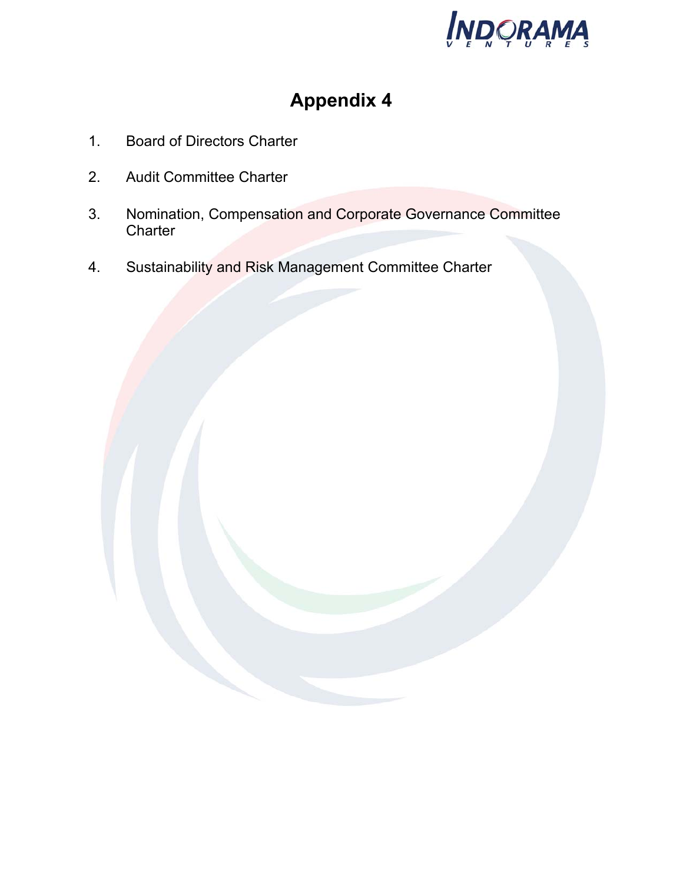

# **Appendix 4**

- 1. Board of Directors Charter
- 2. Audit Committee Charter
- 3. Nomination, Compensation and Corporate Governance Committee **Charter**
- 4. Sustainability and Risk Management Committee Charter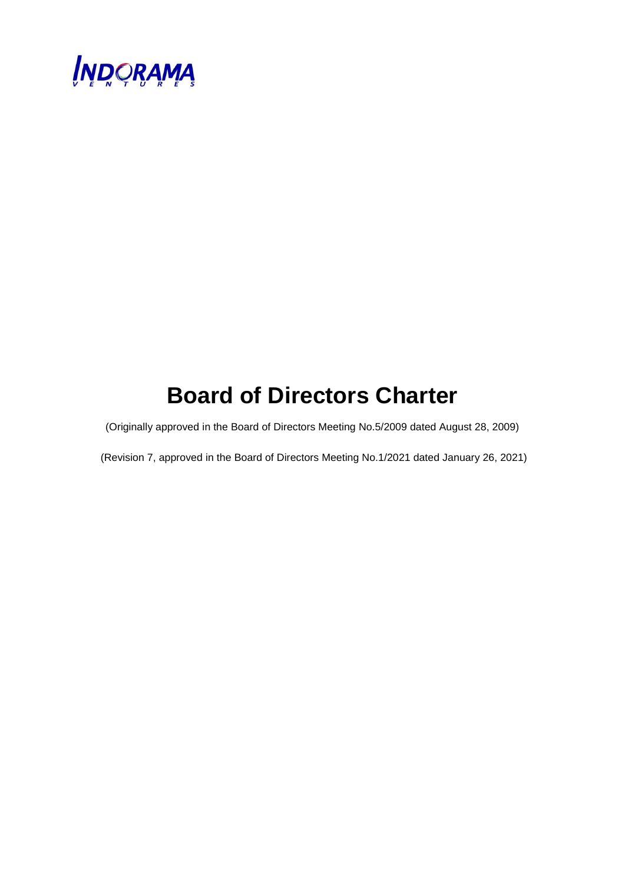

# **Board of Directors Charter**

(Originally approved in the Board of Directors Meeting No.5/2009 dated August 28, 2009)

(Revision 7, approved in the Board of Directors Meeting No.1/2021 dated January 26, 2021)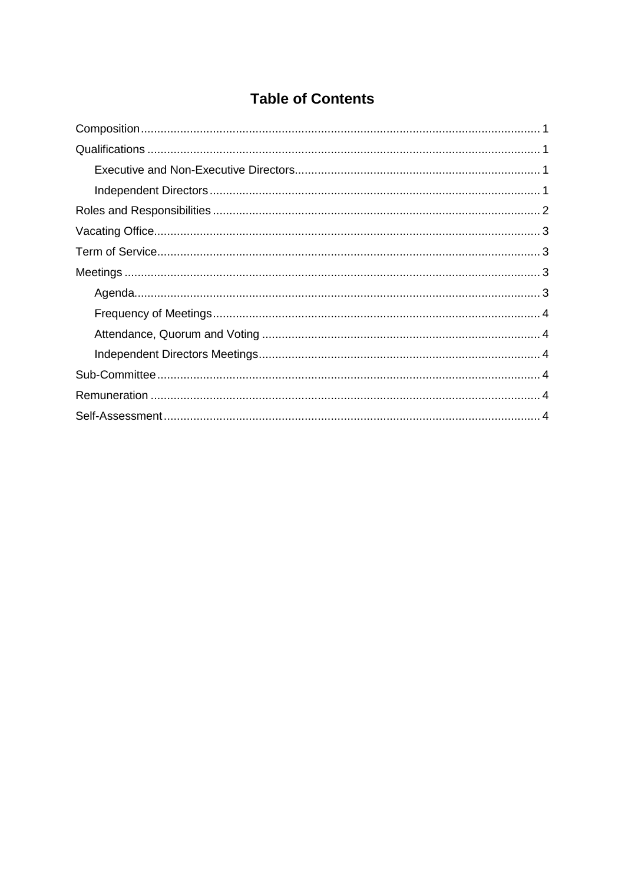# **Table of Contents**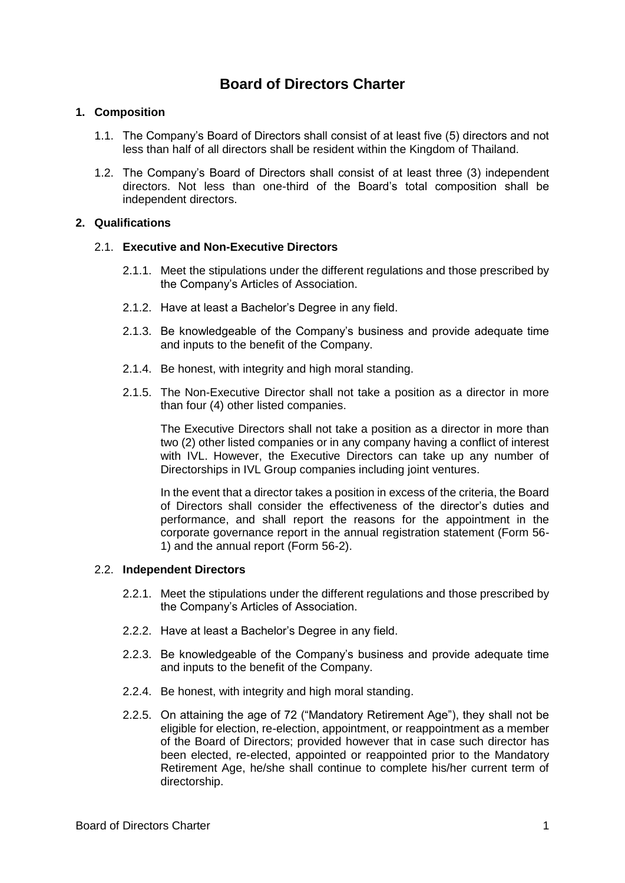# **Board of Directors Charter**

# <span id="page-3-0"></span>**1. Composition**

- 1.1. The Company's Board of Directors shall consist of at least five (5) directors and not less than half of all directors shall be resident within the Kingdom of Thailand.
- 1.2. The Company's Board of Directors shall consist of at least three (3) independent directors. Not less than one-third of the Board's total composition shall be independent directors.

# <span id="page-3-1"></span>**2. Qualifications**

## <span id="page-3-2"></span>2.1. **Executive and Non-Executive Directors**

- 2.1.1. Meet the stipulations under the different regulations and those prescribed by the Company's Articles of Association.
- 2.1.2. Have at least a Bachelor's Degree in any field.
- 2.1.3. Be knowledgeable of the Company's business and provide adequate time and inputs to the benefit of the Company.
- 2.1.4. Be honest, with integrity and high moral standing.
- 2.1.5. The Non-Executive Director shall not take a position as a director in more than four (4) other listed companies.

The Executive Directors shall not take a position as a director in more than two (2) other listed companies or in any company having a conflict of interest with IVL. However, the Executive Directors can take up any number of Directorships in IVL Group companies including joint ventures.

In the event that a director takes a position in excess of the criteria, the Board of Directors shall consider the effectiveness of the director's duties and performance, and shall report the reasons for the appointment in the corporate governance report in the annual registration statement (Form 56- 1) and the annual report (Form 56-2).

#### <span id="page-3-3"></span>2.2. **Independent Directors**

- 2.2.1. Meet the stipulations under the different regulations and those prescribed by the Company's Articles of Association.
- 2.2.2. Have at least a Bachelor's Degree in any field.
- 2.2.3. Be knowledgeable of the Company's business and provide adequate time and inputs to the benefit of the Company.
- 2.2.4. Be honest, with integrity and high moral standing.
- 2.2.5. On attaining the age of 72 ("Mandatory Retirement Age"), they shall not be eligible for election, re-election, appointment, or reappointment as a member of the Board of Directors; provided however that in case such director has been elected, re-elected, appointed or reappointed prior to the Mandatory Retirement Age, he/she shall continue to complete his/her current term of directorship.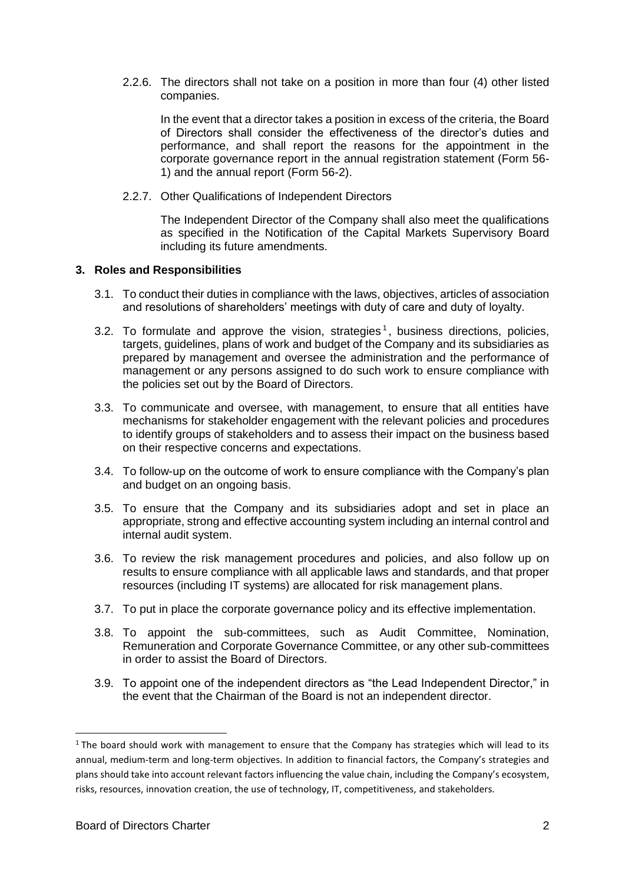2.2.6. The directors shall not take on a position in more than four (4) other listed companies.

In the event that a director takes a position in excess of the criteria, the Board of Directors shall consider the effectiveness of the director's duties and performance, and shall report the reasons for the appointment in the corporate governance report in the annual registration statement (Form 56- 1) and the annual report (Form 56-2).

2.2.7. Other Qualifications of Independent Directors

The Independent Director of the Company shall also meet the qualifications as specified in the Notification of the Capital Markets Supervisory Board including its future amendments.

## <span id="page-4-0"></span>**3. Roles and Responsibilities**

- 3.1. To conduct their duties in compliance with the laws, objectives, articles of association and resolutions of shareholders' meetings with duty of care and duty of loyalty.
- 3.2. To formulate and approve the vision, strategies<sup>1</sup>, business directions, policies, targets, guidelines, plans of work and budget of the Company and its subsidiaries as prepared by management and oversee the administration and the performance of management or any persons assigned to do such work to ensure compliance with the policies set out by the Board of Directors.
- 3.3. To communicate and oversee, with management, to ensure that all entities have mechanisms for stakeholder engagement with the relevant policies and procedures to identify groups of stakeholders and to assess their impact on the business based on their respective concerns and expectations.
- 3.4. To follow-up on the outcome of work to ensure compliance with the Company's plan and budget on an ongoing basis.
- 3.5. To ensure that the Company and its subsidiaries adopt and set in place an appropriate, strong and effective accounting system including an internal control and internal audit system.
- 3.6. To review the risk management procedures and policies, and also follow up on results to ensure compliance with all applicable laws and standards, and that proper resources (including IT systems) are allocated for risk management plans.
- 3.7. To put in place the corporate governance policy and its effective implementation.
- 3.8. To appoint the sub-committees, such as Audit Committee, Nomination, Remuneration and Corporate Governance Committee, or any other sub-committees in order to assist the Board of Directors.
- 3.9. To appoint one of the independent directors as "the Lead Independent Director," in the event that the Chairman of the Board is not an independent director.

 $\overline{a}$ 

 $1$  The board should work with management to ensure that the Company has strategies which will lead to its annual, medium-term and long-term objectives. In addition to financial factors, the Company's strategies and plans should take into account relevant factors influencing the value chain, including the Company's ecosystem, risks, resources, innovation creation, the use of technology, IT, competitiveness, and stakeholders.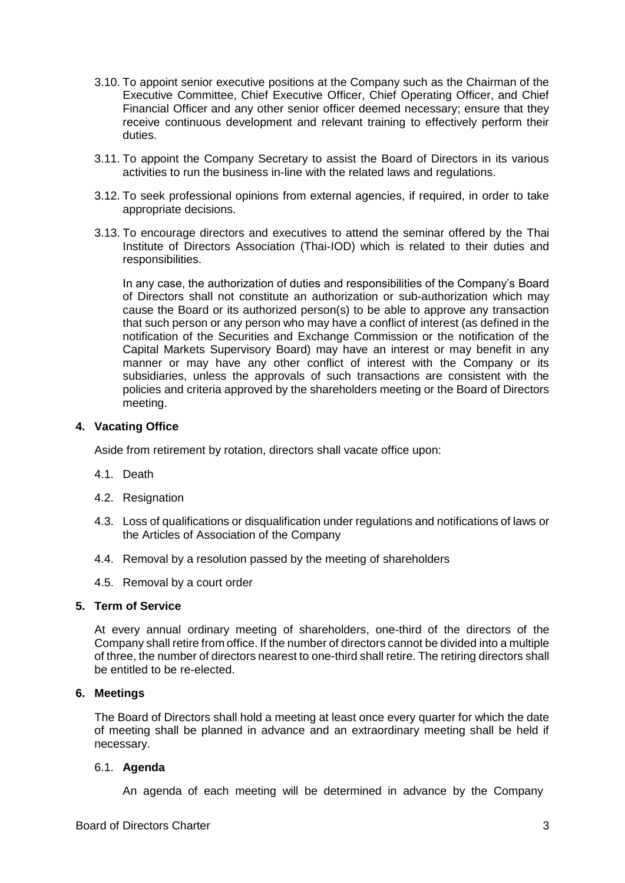- 3.10. To appoint senior executive positions at the Company such as the Chairman of the Executive Committee, Chief Executive Officer, Chief Operating Officer, and Chief Financial Officer and any other senior officer deemed necessary; ensure that they receive continuous development and relevant training to effectively perform their duties.
- 3.11. To appoint the Company Secretary to assist the Board of Directors in its various activities to run the business in-line with the related laws and regulations.
- 3.12. To seek professional opinions from external agencies, if required, in order to take appropriate decisions.
- 3.13. To encourage directors and executives to attend the seminar offered by the Thai Institute of Directors Association (Thai-IOD) which is related to their duties and responsibilities.

In any case, the authorization of duties and responsibilities of the Company's Board of Directors shall not constitute an authorization or sub-authorization which may cause the Board or its authorized person(s) to be able to approve any transaction that such person or any person who may have a conflict of interest (as defined in the notification of the Securities and Exchange Commission or the notification of the Capital Markets Supervisory Board) may have an interest or may benefit in any manner or may have any other conflict of interest with the Company or its subsidiaries, unless the approvals of such transactions are consistent with the policies and criteria approved by the shareholders meeting or the Board of Directors meeting.

## <span id="page-5-0"></span>**4. Vacating Office**

Aside from retirement by rotation, directors shall vacate office upon:

- 4.1. Death
- 4.2. Resignation
- 4.3. Loss of qualifications or disqualification under regulations and notifications of laws or the Articles of Association of the Company
- 4.4. Removal by a resolution passed by the meeting of shareholders
- 4.5. Removal by a court order

# <span id="page-5-1"></span>**5. Term of Service**

At every annual ordinary meeting of shareholders, one-third of the directors of the Company shall retire from office. If the number of directors cannot be divided into a multiple of three, the number of directors nearest to one-third shall retire. The retiring directors shall be entitled to be re-elected.

#### <span id="page-5-2"></span>**6. Meetings**

The Board of Directors shall hold a meeting at least once every quarter for which the date of meeting shall be planned in advance and an extraordinary meeting shall be held if necessary.

#### <span id="page-5-3"></span>6.1. **Agenda**

An agenda of each meeting will be determined in advance by the Company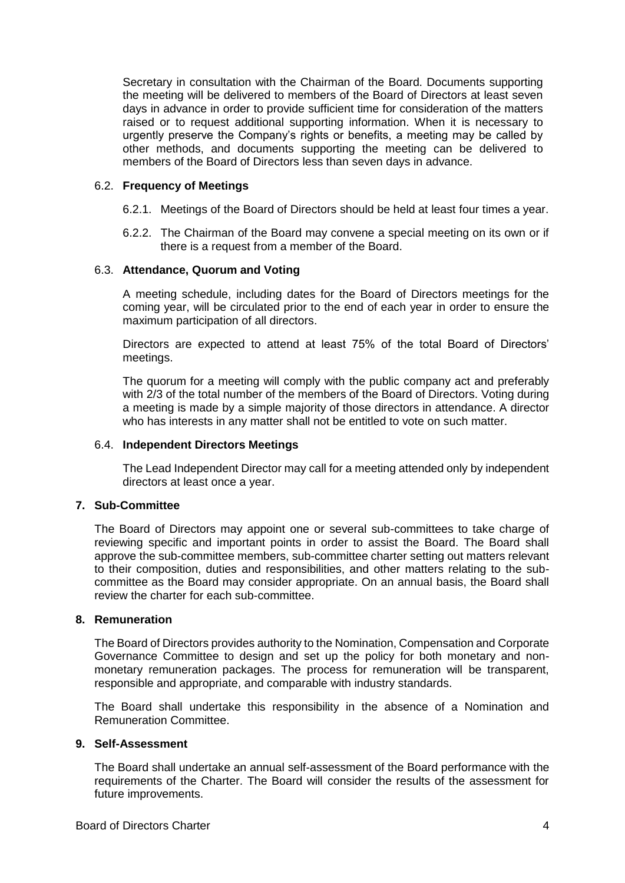Secretary in consultation with the Chairman of the Board. Documents supporting the meeting will be delivered to members of the Board of Directors at least seven days in advance in order to provide sufficient time for consideration of the matters raised or to request additional supporting information. When it is necessary to urgently preserve the Company's rights or benefits, a meeting may be called by other methods, and documents supporting the meeting can be delivered to members of the Board of Directors less than seven days in advance.

#### <span id="page-6-0"></span>6.2. **Frequency of Meetings**

- 6.2.1. Meetings of the Board of Directors should be held at least four times a year.
- 6.2.2. The Chairman of the Board may convene a special meeting on its own or if there is a request from a member of the Board.

## <span id="page-6-1"></span>6.3. **Attendance, Quorum and Voting**

A meeting schedule, including dates for the Board of Directors meetings for the coming year, will be circulated prior to the end of each year in order to ensure the maximum participation of all directors.

Directors are expected to attend at least 75% of the total Board of Directors' meetings.

The quorum for a meeting will comply with the public company act and preferably with 2/3 of the total number of the members of the Board of Directors. Voting during a meeting is made by a simple majority of those directors in attendance. A director who has interests in any matter shall not be entitled to vote on such matter.

#### <span id="page-6-2"></span>6.4. **Independent Directors Meetings**

The Lead Independent Director may call for a meeting attended only by independent directors at least once a year.

# <span id="page-6-3"></span>**7. Sub-Committee**

The Board of Directors may appoint one or several sub-committees to take charge of reviewing specific and important points in order to assist the Board. The Board shall approve the sub-committee members, sub-committee charter setting out matters relevant to their composition, duties and responsibilities, and other matters relating to the subcommittee as the Board may consider appropriate. On an annual basis, the Board shall review the charter for each sub-committee.

#### <span id="page-6-4"></span>**8. Remuneration**

The Board of Directors provides authority to the Nomination, Compensation and Corporate Governance Committee to design and set up the policy for both monetary and nonmonetary remuneration packages. The process for remuneration will be transparent, responsible and appropriate, and comparable with industry standards.

The Board shall undertake this responsibility in the absence of a Nomination and Remuneration Committee.

## <span id="page-6-5"></span>**9. Self-Assessment**

The Board shall undertake an annual self-assessment of the Board performance with the requirements of the Charter. The Board will consider the results of the assessment for future improvements.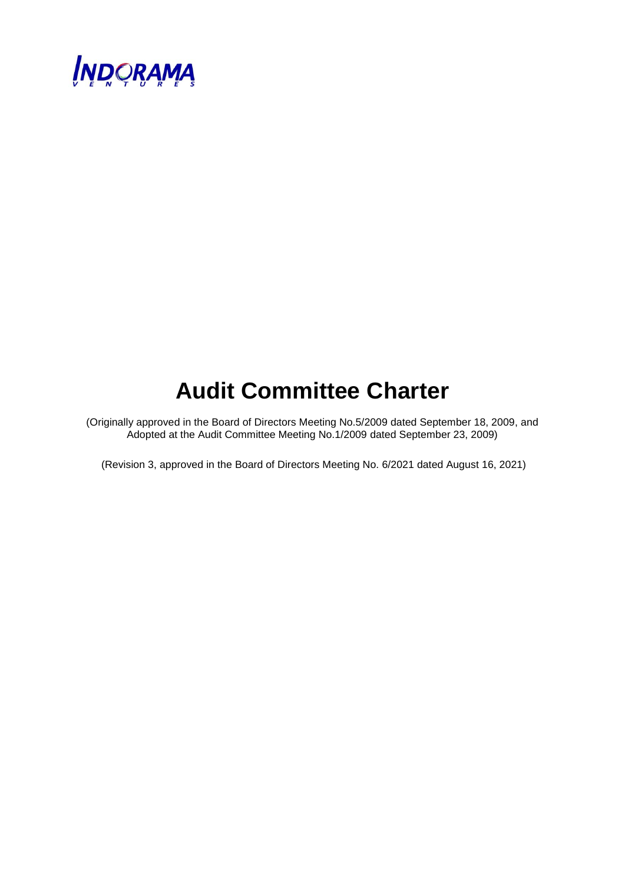

# **Audit Committee Charter**

(Originally approved in the Board of Directors Meeting No.5/2009 dated September 18, 2009, and Adopted at the Audit Committee Meeting No.1/2009 dated September 23, 2009)

(Revision 3, approved in the Board of Directors Meeting No. 6/2021 dated August 16, 2021)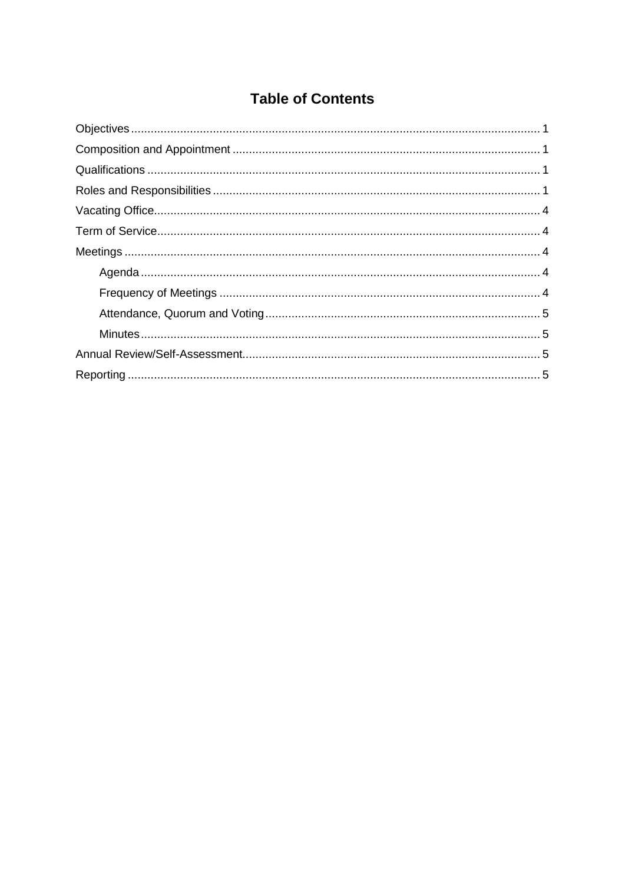# **Table of Contents**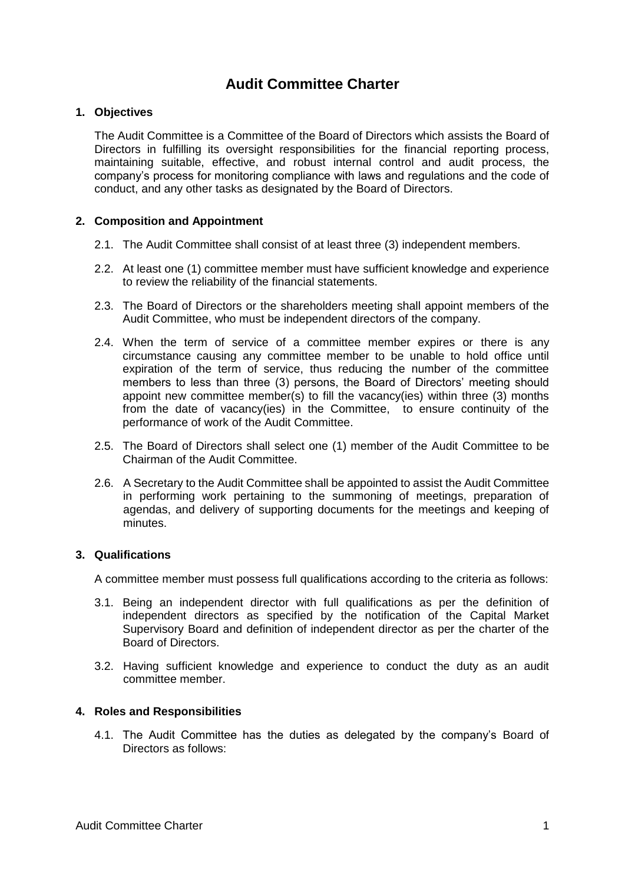# **Audit Committee Charter**

# <span id="page-9-0"></span>**1. Objectives**

The Audit Committee is a Committee of the Board of Directors which assists the Board of Directors in fulfilling its oversight responsibilities for the financial reporting process, maintaining suitable, effective, and robust internal control and audit process, the company's process for monitoring compliance with laws and regulations and the code of conduct, and any other tasks as designated by the Board of Directors.

# <span id="page-9-1"></span>**2. Composition and Appointment**

- 2.1. The Audit Committee shall consist of at least three (3) independent members.
- 2.2. At least one (1) committee member must have sufficient knowledge and experience to review the reliability of the financial statements.
- 2.3. The Board of Directors or the shareholders meeting shall appoint members of the Audit Committee, who must be independent directors of the company.
- 2.4. When the term of service of a committee member expires or there is any circumstance causing any committee member to be unable to hold office until expiration of the term of service, thus reducing the number of the committee members to less than three (3) persons, the Board of Directors' meeting should appoint new committee member(s) to fill the vacancy(ies) within three  $(3)$  months from the date of vacancy(ies) in the Committee, to ensure continuity of the performance of work of the Audit Committee.
- 2.5. The Board of Directors shall select one (1) member of the Audit Committee to be Chairman of the Audit Committee.
- 2.6. A Secretary to the Audit Committee shall be appointed to assist the Audit Committee in performing work pertaining to the summoning of meetings, preparation of agendas, and delivery of supporting documents for the meetings and keeping of minutes.

# <span id="page-9-2"></span>**3. Qualifications**

A committee member must possess full qualifications according to the criteria as follows:

- 3.1. Being an independent director with full qualifications as per the definition of independent directors as specified by the notification of the Capital Market Supervisory Board and definition of independent director as per the charter of the Board of Directors.
- 3.2. Having sufficient knowledge and experience to conduct the duty as an audit committee member.

# <span id="page-9-3"></span>**4. Roles and Responsibilities**

4.1. The Audit Committee has the duties as delegated by the company's Board of Directors as follows: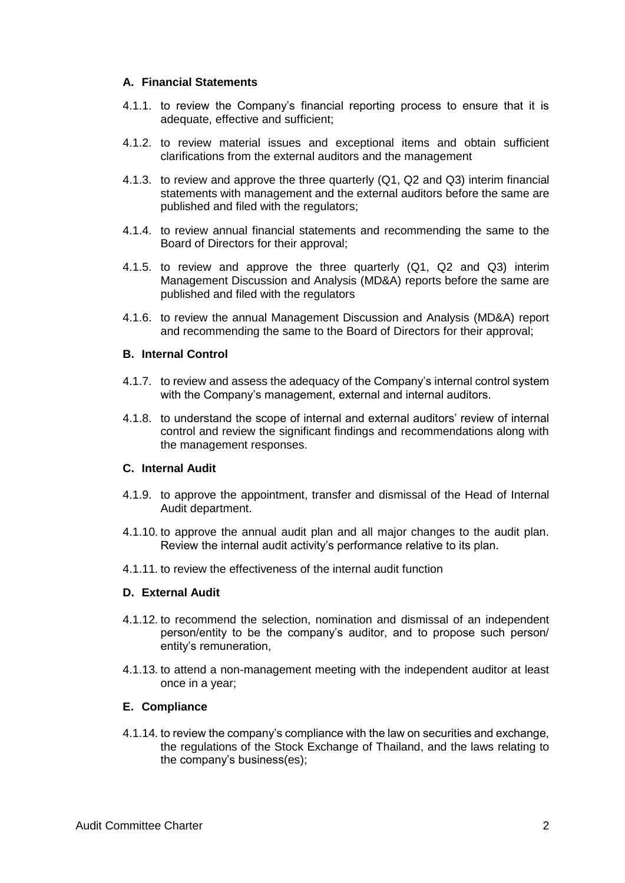## **A. Financial Statements**

- 4.1.1. to review the Company's financial reporting process to ensure that it is adequate, effective and sufficient;
- 4.1.2. to review material issues and exceptional items and obtain sufficient clarifications from the external auditors and the management
- 4.1.3. to review and approve the three quarterly (Q1, Q2 and Q3) interim financial statements with management and the external auditors before the same are published and filed with the regulators;
- 4.1.4. to review annual financial statements and recommending the same to the Board of Directors for their approval;
- 4.1.5. to review and approve the three quarterly (Q1, Q2 and Q3) interim Management Discussion and Analysis (MD&A) reports before the same are published and filed with the regulators
- 4.1.6. to review the annual Management Discussion and Analysis (MD&A) report and recommending the same to the Board of Directors for their approval;

## **B. Internal Control**

- 4.1.7. to review and assess the adequacy of the Company's internal control system with the Company's management, external and internal auditors.
- 4.1.8. to understand the scope of internal and external auditors' review of internal control and review the significant findings and recommendations along with the management responses.

#### **C. Internal Audit**

- 4.1.9. to approve the appointment, transfer and dismissal of the Head of Internal Audit department.
- 4.1.10. to approve the annual audit plan and all major changes to the audit plan. Review the internal audit activity's performance relative to its plan.
- 4.1.11. to review the effectiveness of the internal audit function

## **D. External Audit**

- 4.1.12. to recommend the selection, nomination and dismissal of an independent person/entity to be the company's auditor, and to propose such person/ entity's remuneration,
- 4.1.13. to attend a non-management meeting with the independent auditor at least once in a year;

#### **E. Compliance**

4.1.14. to review the company's compliance with the law on securities and exchange, the regulations of the Stock Exchange of Thailand, and the laws relating to the company's business(es);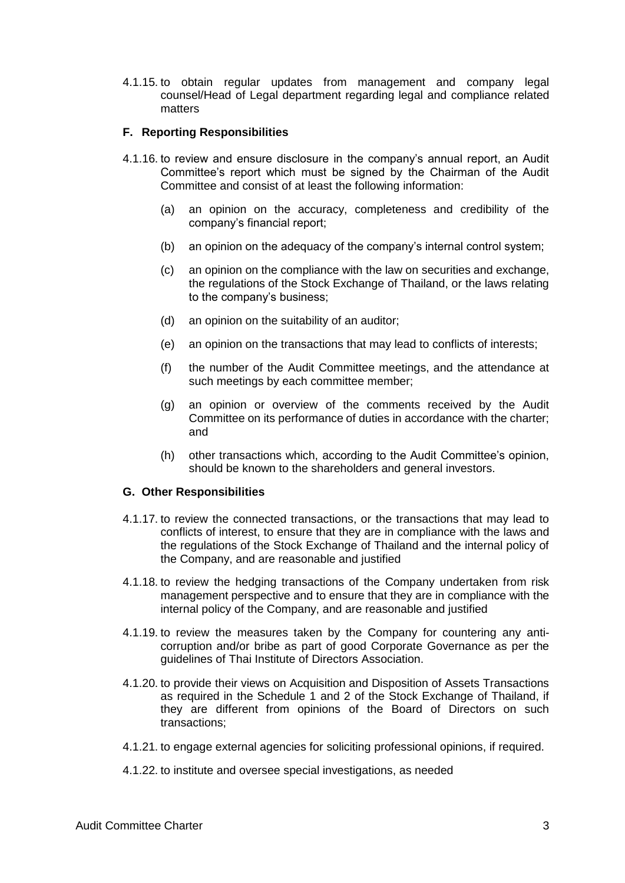4.1.15. to obtain regular updates from management and company legal counsel/Head of Legal department regarding legal and compliance related matters

# **F. Reporting Responsibilities**

- 4.1.16. to review and ensure disclosure in the company's annual report, an Audit Committee's report which must be signed by the Chairman of the Audit Committee and consist of at least the following information:
	- (a) an opinion on the accuracy, completeness and credibility of the company's financial report;
	- (b) an opinion on the adequacy of the company's internal control system;
	- (c) an opinion on the compliance with the law on securities and exchange, the regulations of the Stock Exchange of Thailand, or the laws relating to the company's business;
	- (d) an opinion on the suitability of an auditor;
	- (e) an opinion on the transactions that may lead to conflicts of interests;
	- (f) the number of the Audit Committee meetings, and the attendance at such meetings by each committee member;
	- (g) an opinion or overview of the comments received by the Audit Committee on its performance of duties in accordance with the charter; and
	- (h) other transactions which, according to the Audit Committee's opinion, should be known to the shareholders and general investors.

#### **G. Other Responsibilities**

- 4.1.17. to review the connected transactions, or the transactions that may lead to conflicts of interest, to ensure that they are in compliance with the laws and the regulations of the Stock Exchange of Thailand and the internal policy of the Company, and are reasonable and justified
- 4.1.18. to review the hedging transactions of the Company undertaken from risk management perspective and to ensure that they are in compliance with the internal policy of the Company, and are reasonable and justified
- 4.1.19. to review the measures taken by the Company for countering any anticorruption and/or bribe as part of good Corporate Governance as per the guidelines of Thai Institute of Directors Association.
- 4.1.20. to provide their views on Acquisition and Disposition of Assets Transactions as required in the Schedule 1 and 2 of the Stock Exchange of Thailand, if they are different from opinions of the Board of Directors on such transactions;
- 4.1.21. to engage external agencies for soliciting professional opinions, if required.
- 4.1.22. to institute and oversee special investigations, as needed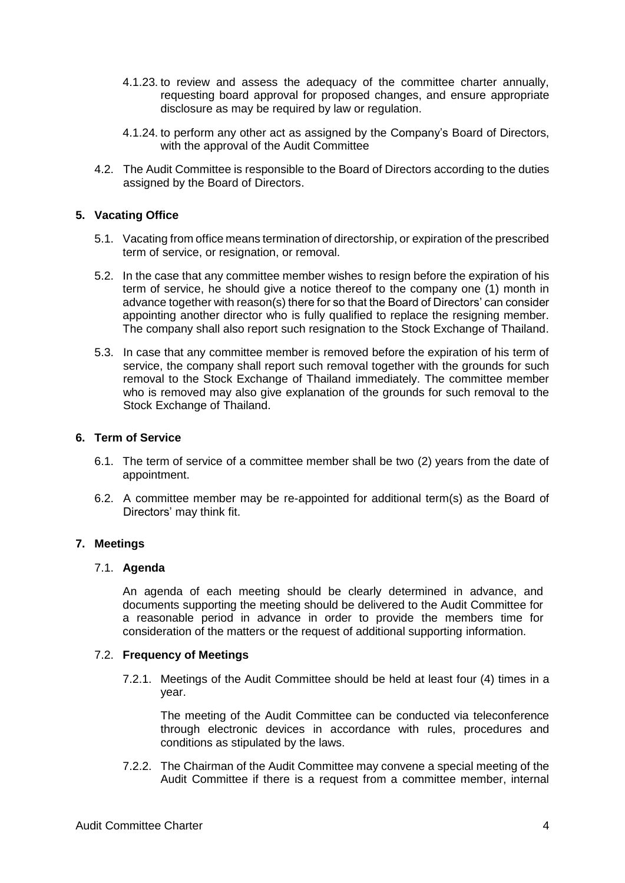- 4.1.23. to review and assess the adequacy of the committee charter annually, requesting board approval for proposed changes, and ensure appropriate disclosure as may be required by law or regulation.
- 4.1.24. to perform any other act as assigned by the Company's Board of Directors, with the approval of the Audit Committee
- 4.2. The Audit Committee is responsible to the Board of Directors according to the duties assigned by the Board of Directors.

# <span id="page-12-0"></span>**5. Vacating Office**

- 5.1. Vacating from office means termination of directorship, or expiration of the prescribed term of service, or resignation, or removal.
- 5.2. In the case that any committee member wishes to resign before the expiration of his term of service, he should give a notice thereof to the company one (1) month in advance together with reason(s) there for so that the Board of Directors' can consider appointing another director who is fully qualified to replace the resigning member. The company shall also report such resignation to the Stock Exchange of Thailand.
- 5.3. In case that any committee member is removed before the expiration of his term of service, the company shall report such removal together with the grounds for such removal to the Stock Exchange of Thailand immediately. The committee member who is removed may also give explanation of the grounds for such removal to the Stock Exchange of Thailand.

## <span id="page-12-1"></span>**6. Term of Service**

- 6.1. The term of service of a committee member shall be two (2) years from the date of appointment.
- 6.2. A committee member may be re-appointed for additional term(s) as the Board of Directors' may think fit.

# <span id="page-12-2"></span>**7. Meetings**

#### <span id="page-12-3"></span>7.1. **Agenda**

An agenda of each meeting should be clearly determined in advance, and documents supporting the meeting should be delivered to the Audit Committee for a reasonable period in advance in order to provide the members time for consideration of the matters or the request of additional supporting information.

#### <span id="page-12-4"></span>7.2. **Frequency of Meetings**

7.2.1. Meetings of the Audit Committee should be held at least four (4) times in a year.

The meeting of the Audit Committee can be conducted via teleconference through electronic devices in accordance with rules, procedures and conditions as stipulated by the laws.

7.2.2. The Chairman of the Audit Committee may convene a special meeting of the Audit Committee if there is a request from a committee member, internal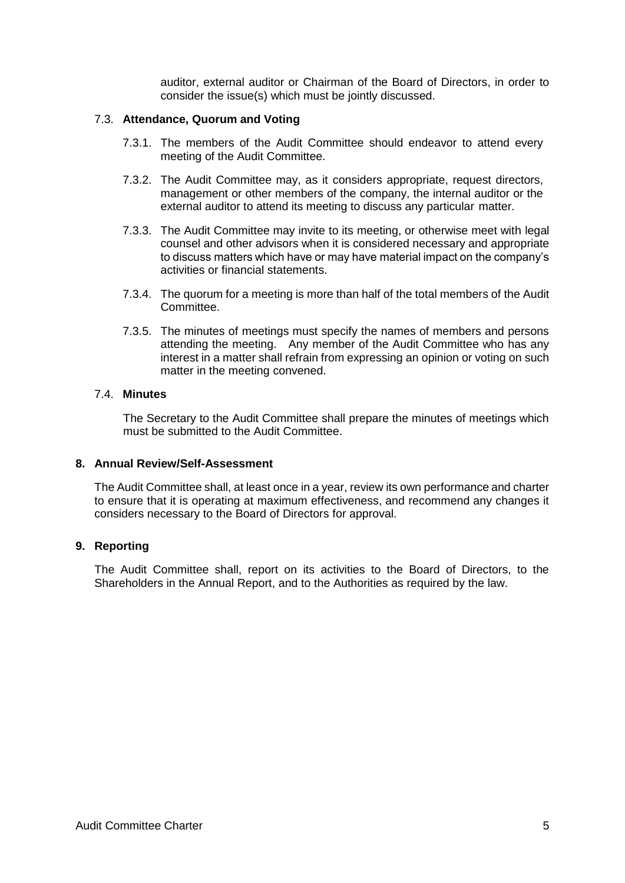auditor, external auditor or Chairman of the Board of Directors, in order to consider the issue(s) which must be jointly discussed.

## <span id="page-13-0"></span>7.3. **Attendance, Quorum and Voting**

- 7.3.1. The members of the Audit Committee should endeavor to attend every meeting of the Audit Committee.
- 7.3.2. The Audit Committee may, as it considers appropriate, request directors, management or other members of the company, the internal auditor or the external auditor to attend its meeting to discuss any particular matter.
- 7.3.3. The Audit Committee may invite to its meeting, or otherwise meet with legal counsel and other advisors when it is considered necessary and appropriate to discuss matters which have or may have material impact on the company's activities or financial statements.
- 7.3.4. The quorum for a meeting is more than half of the total members of the Audit Committee.
- 7.3.5. The minutes of meetings must specify the names of members and persons attending the meeting. Any member of the Audit Committee who has any interest in a matter shall refrain from expressing an opinion or voting on such matter in the meeting convened.

## <span id="page-13-1"></span>7.4. **Minutes**

The Secretary to the Audit Committee shall prepare the minutes of meetings which must be submitted to the Audit Committee.

#### <span id="page-13-2"></span>**8. Annual Review/Self-Assessment**

The Audit Committee shall, at least once in a year, review its own performance and charter to ensure that it is operating at maximum effectiveness, and recommend any changes it considers necessary to the Board of Directors for approval.

# <span id="page-13-3"></span>**9. Reporting**

The Audit Committee shall, report on its activities to the Board of Directors, to the Shareholders in the Annual Report, and to the Authorities as required by the law.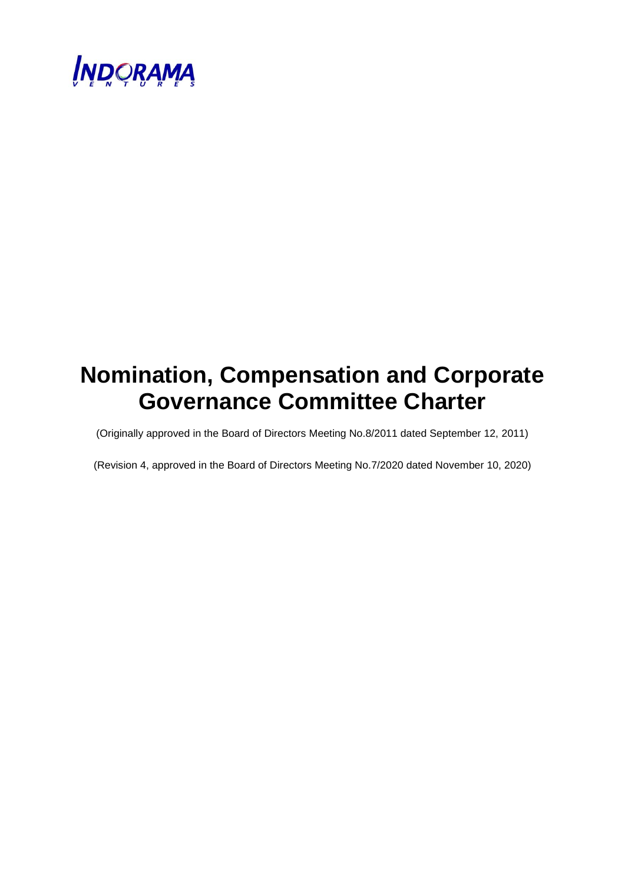

# **Nomination, Compensation and Corporate Governance Committee Charter**

(Originally approved in the Board of Directors Meeting No.8/2011 dated September 12, 2011)

(Revision 4, approved in the Board of Directors Meeting No.7/2020 dated November 10, 2020)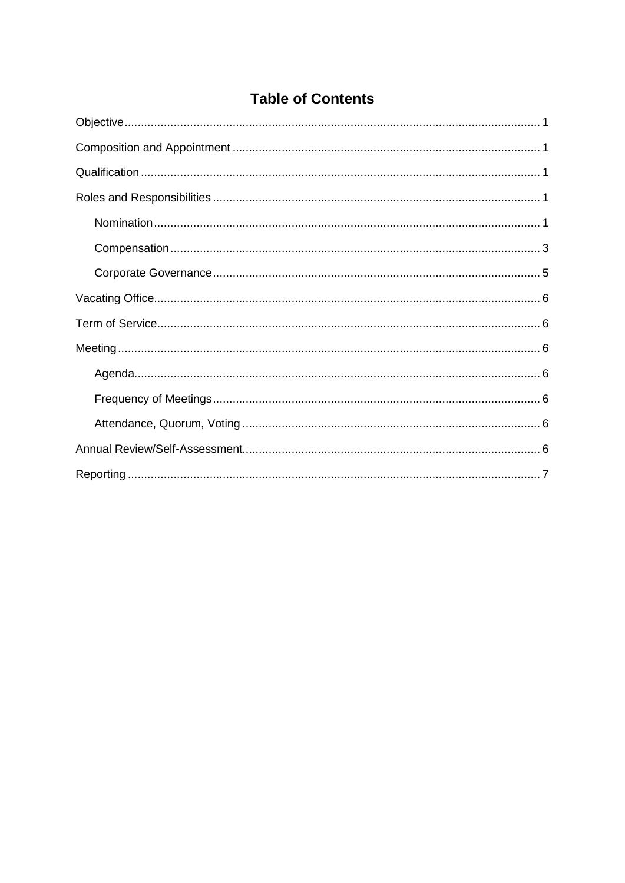# **Table of Contents**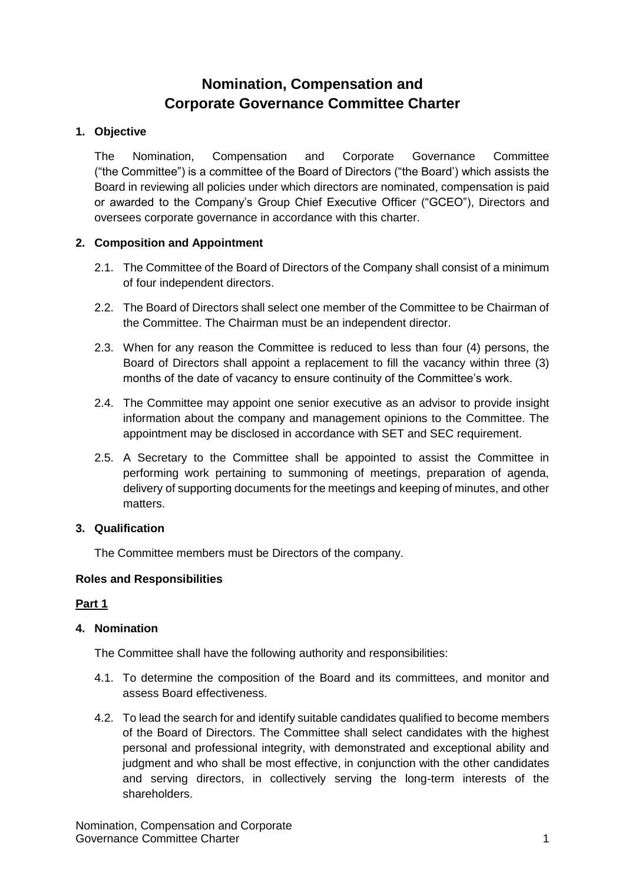# **Nomination, Compensation and Corporate Governance Committee Charter**

# <span id="page-16-0"></span>**1. Objective**

The Nomination, Compensation and Corporate Governance Committee ("the Committee") is a committee of the Board of Directors ("the Board') which assists the Board in reviewing all policies under which directors are nominated, compensation is paid or awarded to the Company's Group Chief Executive Officer ("GCEO"), Directors and oversees corporate governance in accordance with this charter.

# <span id="page-16-1"></span>**2. Composition and Appointment**

- 2.1. The Committee of the Board of Directors of the Company shall consist of a minimum of four independent directors.
- 2.2. The Board of Directors shall select one member of the Committee to be Chairman of the Committee. The Chairman must be an independent director.
- 2.3. When for any reason the Committee is reduced to less than four (4) persons, the Board of Directors shall appoint a replacement to fill the vacancy within three (3) months of the date of vacancy to ensure continuity of the Committee's work.
- 2.4. The Committee may appoint one senior executive as an advisor to provide insight information about the company and management opinions to the Committee. The appointment may be disclosed in accordance with SET and SEC requirement.
- 2.5. A Secretary to the Committee shall be appointed to assist the Committee in performing work pertaining to summoning of meetings, preparation of agenda, delivery of supporting documents for the meetings and keeping of minutes, and other matters.

# <span id="page-16-2"></span>**3. Qualification**

The Committee members must be Directors of the company.

# <span id="page-16-3"></span>**Roles and Responsibilities**

# **Part 1**

# <span id="page-16-4"></span>**4. Nomination**

The Committee shall have the following authority and responsibilities:

- 4.1. To determine the composition of the Board and its committees, and monitor and assess Board effectiveness.
- 4.2. To lead the search for and identify suitable candidates qualified to become members of the Board of Directors. The Committee shall select candidates with the highest personal and professional integrity, with demonstrated and exceptional ability and judgment and who shall be most effective, in conjunction with the other candidates and serving directors, in collectively serving the long-term interests of the shareholders.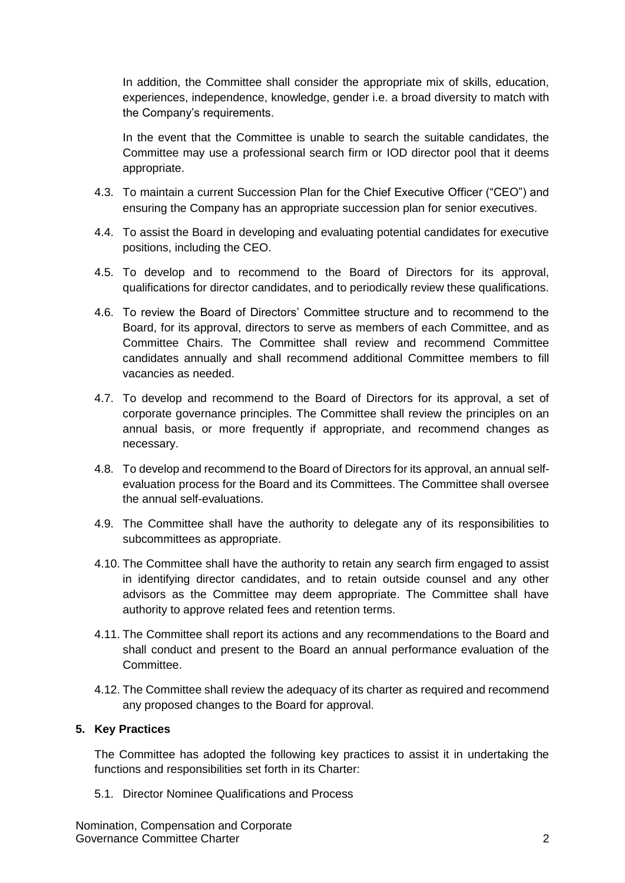In addition, the Committee shall consider the appropriate mix of skills, education, experiences, independence, knowledge, gender i.e. a broad diversity to match with the Company's requirements.

In the event that the Committee is unable to search the suitable candidates, the Committee may use a professional search firm or IOD director pool that it deems appropriate.

- 4.3. To maintain a current Succession Plan for the Chief Executive Officer ("CEO") and ensuring the Company has an appropriate succession plan for senior executives.
- 4.4. To assist the Board in developing and evaluating potential candidates for executive positions, including the CEO.
- 4.5. To develop and to recommend to the Board of Directors for its approval, qualifications for director candidates, and to periodically review these qualifications.
- 4.6. To review the Board of Directors' Committee structure and to recommend to the Board, for its approval, directors to serve as members of each Committee, and as Committee Chairs. The Committee shall review and recommend Committee candidates annually and shall recommend additional Committee members to fill vacancies as needed.
- 4.7. To develop and recommend to the Board of Directors for its approval, a set of corporate governance principles. The Committee shall review the principles on an annual basis, or more frequently if appropriate, and recommend changes as necessary.
- 4.8. To develop and recommend to the Board of Directors for its approval, an annual selfevaluation process for the Board and its Committees. The Committee shall oversee the annual self-evaluations.
- 4.9. The Committee shall have the authority to delegate any of its responsibilities to subcommittees as appropriate.
- 4.10. The Committee shall have the authority to retain any search firm engaged to assist in identifying director candidates, and to retain outside counsel and any other advisors as the Committee may deem appropriate. The Committee shall have authority to approve related fees and retention terms.
- 4.11. The Committee shall report its actions and any recommendations to the Board and shall conduct and present to the Board an annual performance evaluation of the Committee.
- 4.12. The Committee shall review the adequacy of its charter as required and recommend any proposed changes to the Board for approval.

# **5. Key Practices**

The Committee has adopted the following key practices to assist it in undertaking the functions and responsibilities set forth in its Charter:

5.1. Director Nominee Qualifications and Process

Nomination, Compensation and Corporate Governance Committee Charter 2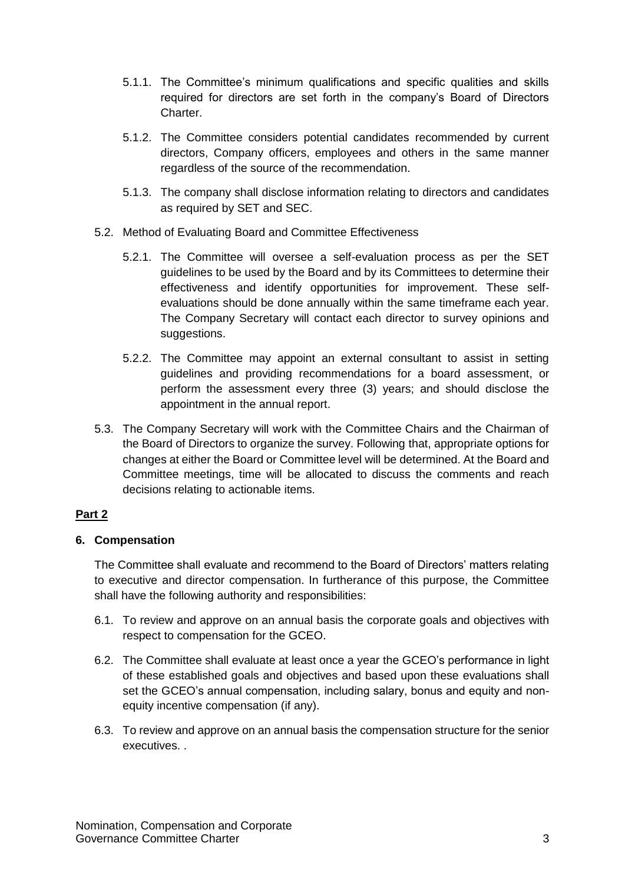- 5.1.1. The Committee's minimum qualifications and specific qualities and skills required for directors are set forth in the company's Board of Directors Charter.
- 5.1.2. The Committee considers potential candidates recommended by current directors, Company officers, employees and others in the same manner regardless of the source of the recommendation.
- 5.1.3. The company shall disclose information relating to directors and candidates as required by SET and SEC.
- 5.2. Method of Evaluating Board and Committee Effectiveness
	- 5.2.1. The Committee will oversee a self-evaluation process as per the SET guidelines to be used by the Board and by its Committees to determine their effectiveness and identify opportunities for improvement. These selfevaluations should be done annually within the same timeframe each year. The Company Secretary will contact each director to survey opinions and suggestions.
	- 5.2.2. The Committee may appoint an external consultant to assist in setting guidelines and providing recommendations for a board assessment, or perform the assessment every three (3) years; and should disclose the appointment in the annual report.
- 5.3. The Company Secretary will work with the Committee Chairs and the Chairman of the Board of Directors to organize the survey. Following that, appropriate options for changes at either the Board or Committee level will be determined. At the Board and Committee meetings, time will be allocated to discuss the comments and reach decisions relating to actionable items.

# **Part 2**

# <span id="page-18-0"></span>**6. Compensation**

The Committee shall evaluate and recommend to the Board of Directors' matters relating to executive and director compensation. In furtherance of this purpose, the Committee shall have the following authority and responsibilities:

- 6.1. To review and approve on an annual basis the corporate goals and objectives with respect to compensation for the GCEO.
- 6.2. The Committee shall evaluate at least once a year the GCEO's performance in light of these established goals and objectives and based upon these evaluations shall set the GCEO's annual compensation, including salary, bonus and equity and nonequity incentive compensation (if any).
- 6.3. To review and approve on an annual basis the compensation structure for the senior executives. .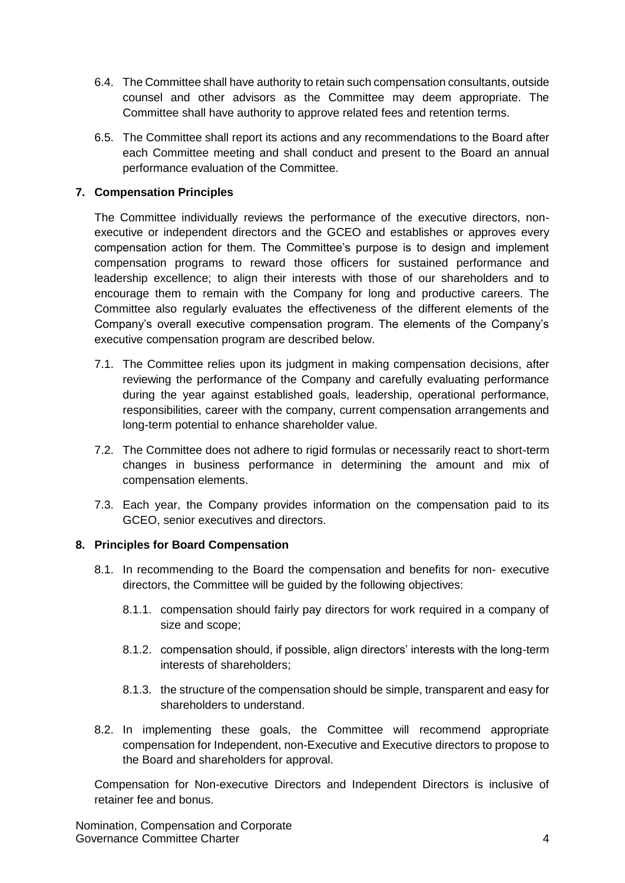- 6.4. The Committee shall have authority to retain such compensation consultants, outside counsel and other advisors as the Committee may deem appropriate. The Committee shall have authority to approve related fees and retention terms.
- 6.5. The Committee shall report its actions and any recommendations to the Board after each Committee meeting and shall conduct and present to the Board an annual performance evaluation of the Committee.

# **7. Compensation Principles**

The Committee individually reviews the performance of the executive directors, nonexecutive or independent directors and the GCEO and establishes or approves every compensation action for them. The Committee's purpose is to design and implement compensation programs to reward those officers for sustained performance and leadership excellence; to align their interests with those of our shareholders and to encourage them to remain with the Company for long and productive careers. The Committee also regularly evaluates the effectiveness of the different elements of the Company's overall executive compensation program. The elements of the Company's executive compensation program are described below.

- 7.1. The Committee relies upon its judgment in making compensation decisions, after reviewing the performance of the Company and carefully evaluating performance during the year against established goals, leadership, operational performance, responsibilities, career with the company, current compensation arrangements and long-term potential to enhance shareholder value.
- 7.2. The Committee does not adhere to rigid formulas or necessarily react to short-term changes in business performance in determining the amount and mix of compensation elements.
- 7.3. Each year, the Company provides information on the compensation paid to its GCEO, senior executives and directors.

# **8. Principles for Board Compensation**

- 8.1. In recommending to the Board the compensation and benefits for non- executive directors, the Committee will be guided by the following objectives:
	- 8.1.1. compensation should fairly pay directors for work required in a company of size and scope;
	- 8.1.2. compensation should, if possible, align directors' interests with the long-term interests of shareholders;
	- 8.1.3. the structure of the compensation should be simple, transparent and easy for shareholders to understand.
- 8.2. In implementing these goals, the Committee will recommend appropriate compensation for Independent, non-Executive and Executive directors to propose to the Board and shareholders for approval.

Compensation for Non-executive Directors and Independent Directors is inclusive of retainer fee and bonus.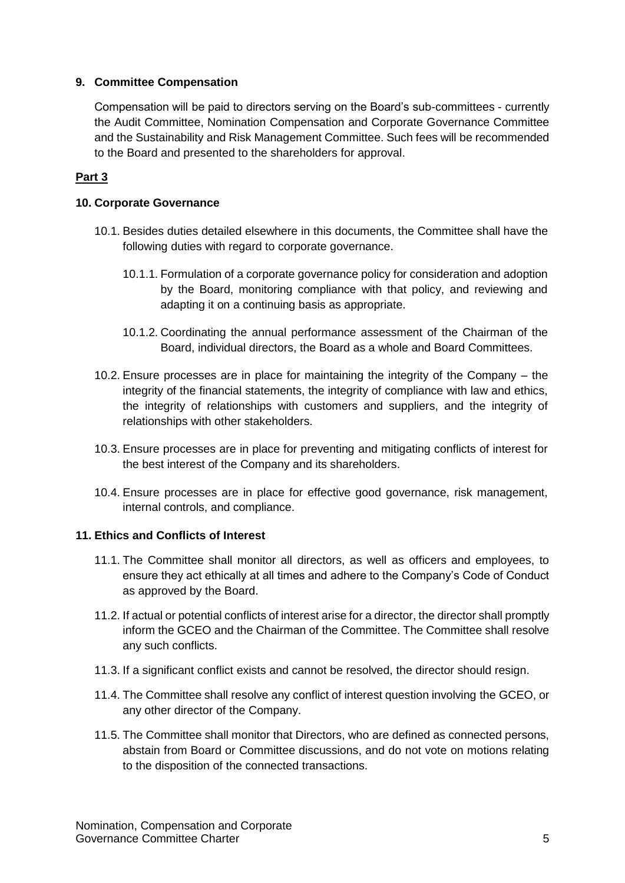# **9. Committee Compensation**

Compensation will be paid to directors serving on the Board's sub-committees - currently the Audit Committee, Nomination Compensation and Corporate Governance Committee and the Sustainability and Risk Management Committee. Such fees will be recommended to the Board and presented to the shareholders for approval.

# **Part 3**

# <span id="page-20-0"></span>**10. Corporate Governance**

- 10.1. Besides duties detailed elsewhere in this documents, the Committee shall have the following duties with regard to corporate governance.
	- 10.1.1. Formulation of a corporate governance policy for consideration and adoption by the Board, monitoring compliance with that policy, and reviewing and adapting it on a continuing basis as appropriate.
	- 10.1.2. Coordinating the annual performance assessment of the Chairman of the Board, individual directors, the Board as a whole and Board Committees.
- 10.2. Ensure processes are in place for maintaining the integrity of the Company the integrity of the financial statements, the integrity of compliance with law and ethics, the integrity of relationships with customers and suppliers, and the integrity of relationships with other stakeholders.
- 10.3. Ensure processes are in place for preventing and mitigating conflicts of interest for the best interest of the Company and its shareholders.
- 10.4. Ensure processes are in place for effective good governance, risk management, internal controls, and compliance.

# **11. Ethics and Conflicts of Interest**

- 11.1. The Committee shall monitor all directors, as well as officers and employees, to ensure they act ethically at all times and adhere to the Company's Code of Conduct as approved by the Board.
- 11.2. If actual or potential conflicts of interest arise for a director, the director shall promptly inform the GCEO and the Chairman of the Committee. The Committee shall resolve any such conflicts.
- 11.3. If a significant conflict exists and cannot be resolved, the director should resign.
- 11.4. The Committee shall resolve any conflict of interest question involving the GCEO, or any other director of the Company.
- 11.5. The Committee shall monitor that Directors, who are defined as connected persons, abstain from Board or Committee discussions, and do not vote on motions relating to the disposition of the connected transactions.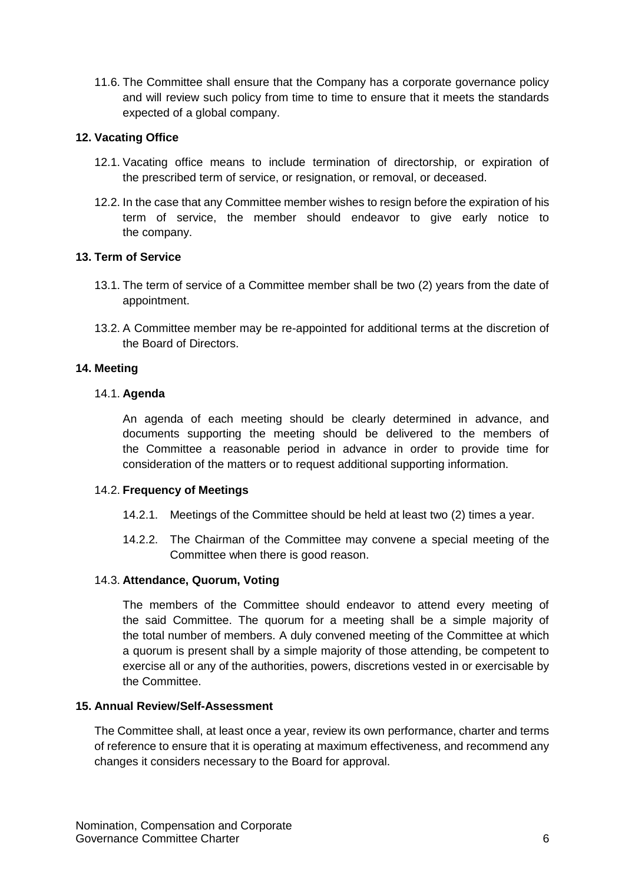11.6. The Committee shall ensure that the Company has a corporate governance policy and will review such policy from time to time to ensure that it meets the standards expected of a global company.

# <span id="page-21-0"></span>**12. Vacating Office**

- 12.1. Vacating office means to include termination of directorship, or expiration of the prescribed term of service, or resignation, or removal, or deceased.
- 12.2. In the case that any Committee member wishes to resign before the expiration of his term of service, the member should endeavor to give early notice to the company.

# <span id="page-21-1"></span>**13. Term of Service**

- 13.1. The term of service of a Committee member shall be two (2) years from the date of appointment.
- 13.2. A Committee member may be re-appointed for additional terms at the discretion of the Board of Directors.

# <span id="page-21-2"></span>**14. Meeting**

# <span id="page-21-3"></span>14.1. **Agenda**

An agenda of each meeting should be clearly determined in advance, and documents supporting the meeting should be delivered to the members of the Committee a reasonable period in advance in order to provide time for consideration of the matters or to request additional supporting information.

# <span id="page-21-4"></span>14.2. **Frequency of Meetings**

- 14.2.1. Meetings of the Committee should be held at least two (2) times a year.
- 14.2.2. The Chairman of the Committee may convene a special meeting of the Committee when there is good reason.

# <span id="page-21-5"></span>14.3. **Attendance, Quorum, Voting**

The members of the Committee should endeavor to attend every meeting of the said Committee. The quorum for a meeting shall be a simple majority of the total number of members. A duly convened meeting of the Committee at which a quorum is present shall by a simple majority of those attending, be competent to exercise all or any of the authorities, powers, discretions vested in or exercisable by the Committee.

# <span id="page-21-6"></span>**15. Annual Review/Self-Assessment**

The Committee shall, at least once a year, review its own performance, charter and terms of reference to ensure that it is operating at maximum effectiveness, and recommend any changes it considers necessary to the Board for approval.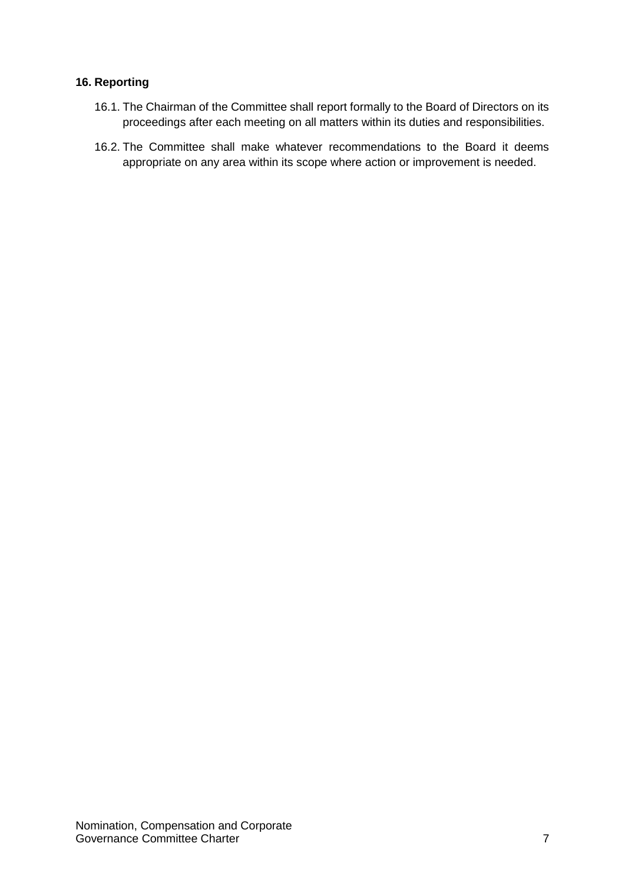# <span id="page-22-0"></span>**16. Reporting**

- 16.1. The Chairman of the Committee shall report formally to the Board of Directors on its proceedings after each meeting on all matters within its duties and responsibilities.
- 16.2. The Committee shall make whatever recommendations to the Board it deems appropriate on any area within its scope where action or improvement is needed.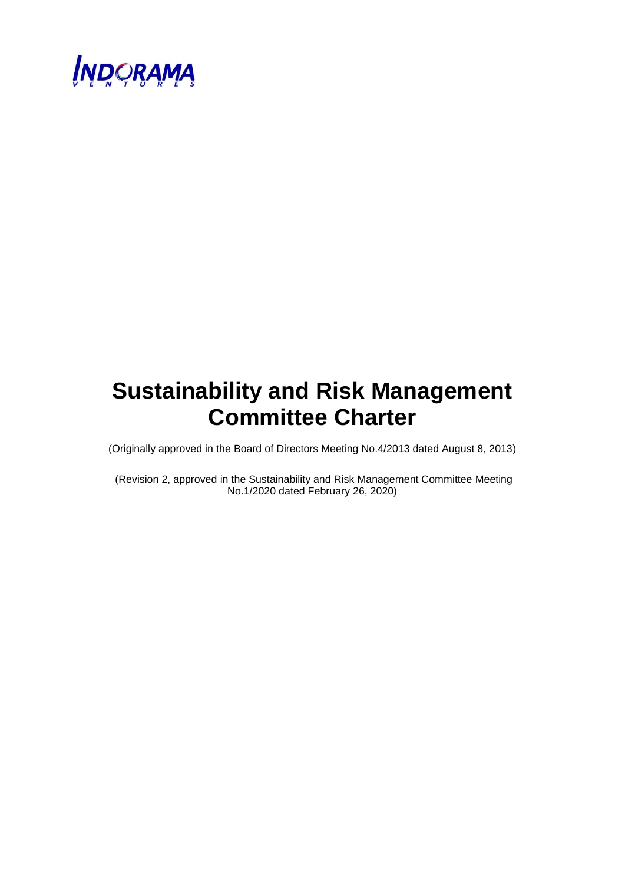

# **Sustainability and Risk Management Committee Charter**

(Originally approved in the Board of Directors Meeting No.4/2013 dated August 8, 2013)

(Revision 2, approved in the Sustainability and Risk Management Committee Meeting No.1/2020 dated February 26, 2020)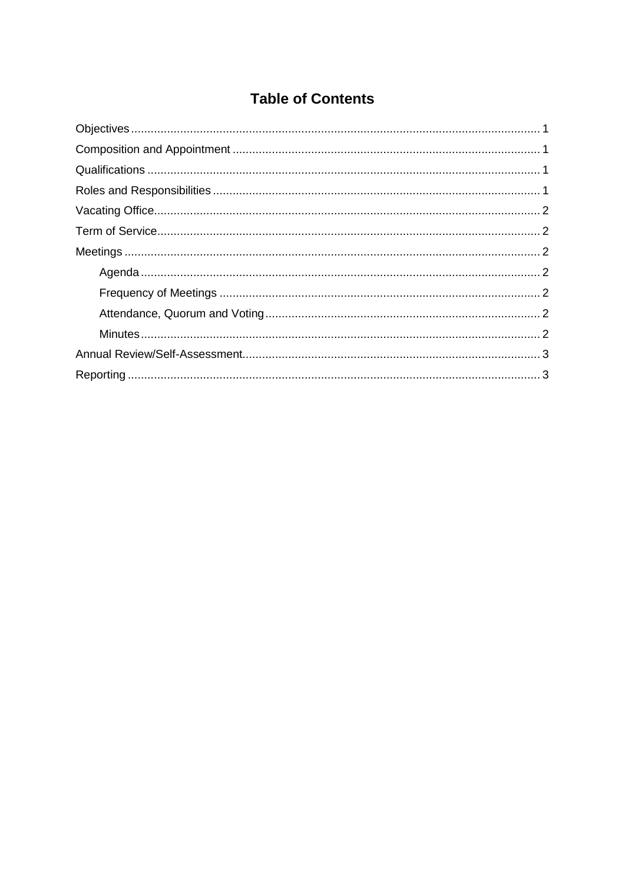# **Table of Contents**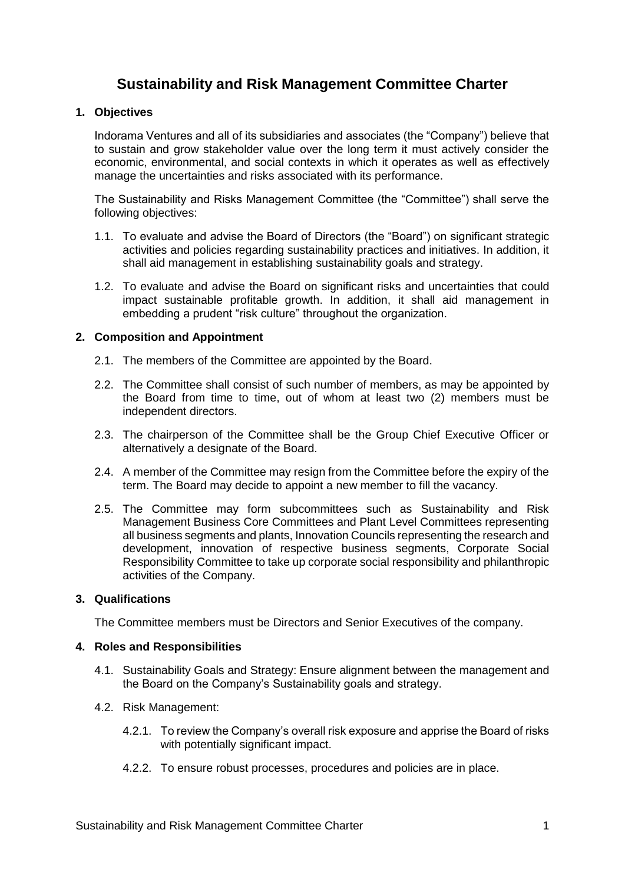# **Sustainability and Risk Management Committee Charter**

# <span id="page-25-0"></span>**1. Objectives**

Indorama Ventures and all of its subsidiaries and associates (the "Company") believe that to sustain and grow stakeholder value over the long term it must actively consider the economic, environmental, and social contexts in which it operates as well as effectively manage the uncertainties and risks associated with its performance.

The Sustainability and Risks Management Committee (the "Committee") shall serve the following objectives:

- 1.1. To evaluate and advise the Board of Directors (the "Board") on significant strategic activities and policies regarding sustainability practices and initiatives. In addition, it shall aid management in establishing sustainability goals and strategy.
- 1.2. To evaluate and advise the Board on significant risks and uncertainties that could impact sustainable profitable growth. In addition, it shall aid management in embedding a prudent "risk culture" throughout the organization.

## <span id="page-25-1"></span>**2. Composition and Appointment**

- 2.1. The members of the Committee are appointed by the Board.
- 2.2. The Committee shall consist of such number of members, as may be appointed by the Board from time to time, out of whom at least two (2) members must be independent directors.
- 2.3. The chairperson of the Committee shall be the Group Chief Executive Officer or alternatively a designate of the Board.
- 2.4. A member of the Committee may resign from the Committee before the expiry of the term. The Board may decide to appoint a new member to fill the vacancy.
- 2.5. The Committee may form subcommittees such as Sustainability and Risk Management Business Core Committees and Plant Level Committees representing all business segments and plants, Innovation Councils representing the research and development, innovation of respective business segments, Corporate Social Responsibility Committee to take up corporate social responsibility and philanthropic activities of the Company.

#### <span id="page-25-2"></span>**3. Qualifications**

The Committee members must be Directors and Senior Executives of the company.

#### <span id="page-25-3"></span>**4. Roles and Responsibilities**

- 4.1. Sustainability Goals and Strategy: Ensure alignment between the management and the Board on the Company's Sustainability goals and strategy.
- 4.2. Risk Management:
	- 4.2.1. To review the Company's overall risk exposure and apprise the Board of risks with potentially significant impact.
	- 4.2.2. To ensure robust processes, procedures and policies are in place.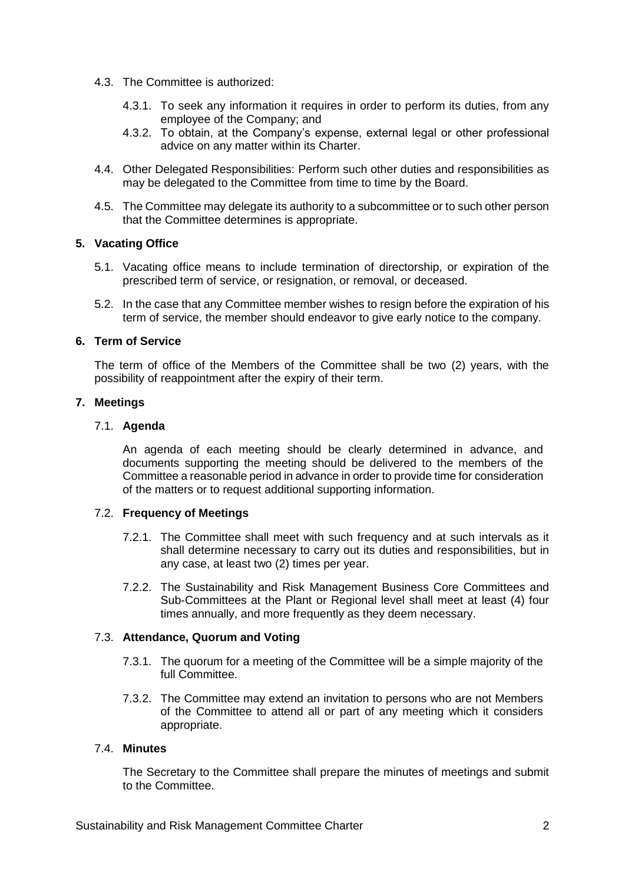- 4.3. The Committee is authorized:
	- 4.3.1. To seek any information it requires in order to perform its duties, from any employee of the Company; and
	- 4.3.2. To obtain, at the Company's expense, external legal or other professional advice on any matter within its Charter.
- 4.4. Other Delegated Responsibilities: Perform such other duties and responsibilities as may be delegated to the Committee from time to time by the Board.
- 4.5. The Committee may delegate its authority to a subcommittee or to such other person that the Committee determines is appropriate.

## <span id="page-26-0"></span>**5. Vacating Office**

- 5.1. Vacating office means to include termination of directorship, or expiration of the prescribed term of service, or resignation, or removal, or deceased.
- 5.2. In the case that any Committee member wishes to resign before the expiration of his term of service, the member should endeavor to give early notice to the company.

## <span id="page-26-1"></span>**6. Term of Service**

The term of office of the Members of the Committee shall be two (2) years, with the possibility of reappointment after the expiry of their term.

## <span id="page-26-2"></span>**7. Meetings**

## <span id="page-26-3"></span>7.1. **Agenda**

An agenda of each meeting should be clearly determined in advance, and documents supporting the meeting should be delivered to the members of the Committee a reasonable period in advance in order to provide time for consideration of the matters or to request additional supporting information.

#### <span id="page-26-4"></span>7.2. **Frequency of Meetings**

- 7.2.1. The Committee shall meet with such frequency and at such intervals as it shall determine necessary to carry out its duties and responsibilities, but in any case, at least two (2) times per year.
- 7.2.2. The Sustainability and Risk Management Business Core Committees and Sub-Committees at the Plant or Regional level shall meet at least (4) four times annually, and more frequently as they deem necessary.

# <span id="page-26-5"></span>7.3. **Attendance, Quorum and Voting**

- 7.3.1. The quorum for a meeting of the Committee will be a simple majority of the full Committee.
- 7.3.2. The Committee may extend an invitation to persons who are not Members of the Committee to attend all or part of any meeting which it considers appropriate.

#### <span id="page-26-6"></span>7.4. **Minutes**

The Secretary to the Committee shall prepare the minutes of meetings and submit to the Committee.